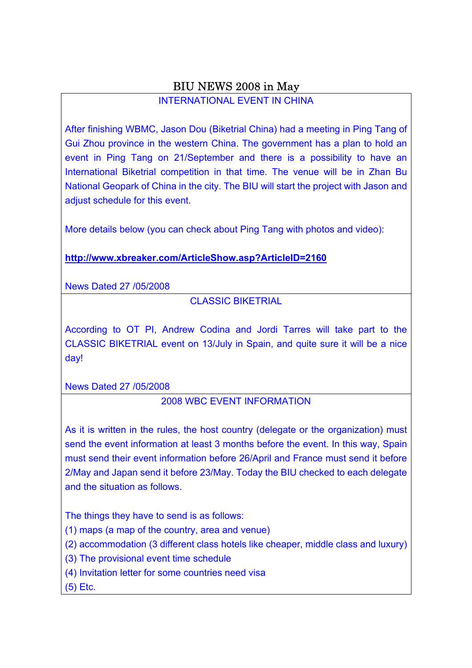## BIU NEWS 2008 in May

### INTERNATIONAL EVENT IN CHINA

After finishing WBMC, Jason Dou (Biketrial China) had a meeting in Ping Tang of Gui Zhou province in the western China. The government has a plan to hold an event in Ping Tang on 21/September and there is a possibility to have an International Biketrial competition in that time. The venue will be in Zhan Bu National Geopark of China in the city. The BIU will start the project with Jason and adjust schedule for this event.

More details below (you can check about Ping Tang with photos and video):

**http://www.xbreaker.com/ArticleShow.asp?ArticleID=2160**

News Dated 27 /05/2008

CLASSIC BIKETRIAL

According to OT PI, Andrew Codina and Jordi Tarres will take part to the CLASSIC BIKETRIAL event on 13/July in Spain, and quite sure it will be a nice day!

News Dated 27 /05/2008

## 2008 WBC EVENT INFORMATION

As it is written in the rules, the host country (delegate or the organization) must send the event information at least 3 months before the event. In this way, Spain must send their event information before 26/April and France must send it before 2/May and Japan send it before 23/May. Today the BIU checked to each delegate and the situation as follows.

The things they have to send is as follows:

(1) maps (a map of the country, area and venue)

(2) accommodation (3 different class hotels like cheaper, middle class and luxury)

(3) The provisional event time schedule

(4) Invitation letter for some countries need visa

(5) Etc.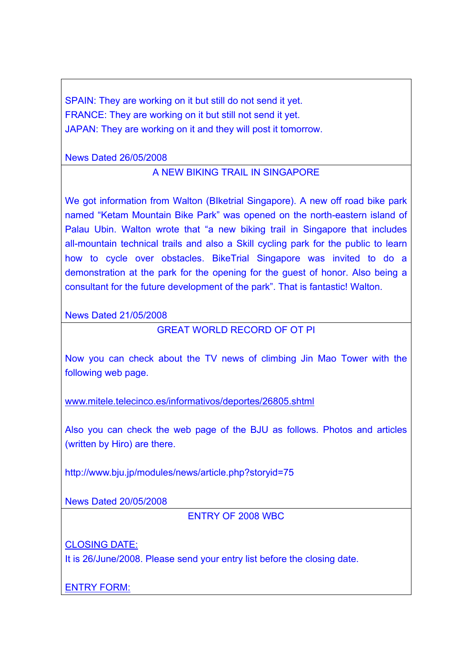SPAIN: They are working on it but still do not send it yet. FRANCE: They are working on it but still not send it yet. JAPAN: They are working on it and they will post it tomorrow.

News Dated 26/05/2008

### A NEW BIKING TRAIL IN SINGAPORE

We got information from Walton (BIketrial Singapore). A new off road bike park named "Ketam Mountain Bike Park" was opened on the north-eastern island of Palau Ubin. Walton wrote that "a new biking trail in Singapore that includes all-mountain technical trails and also a Skill cycling park for the public to learn how to cycle over obstacles. BikeTrial Singapore was invited to do a demonstration at the park for the opening for the guest of honor. Also being a consultant for the future development of the park". That is fantastic! Walton.

News Dated 21/05/2008

GREAT WORLD RECORD OF OT PI

Now you can check about the TV news of climbing Jin Mao Tower with the following web page.

www.mitele.telecinco.es/informativos/deportes/26805.shtml

Also you can check the web page of the BJU as follows. Photos and articles (written by Hiro) are there.

http://www.bju.jp/modules/news/article.php?storyid=75

News Dated 20/05/2008

ENTRY OF 2008 WBC

CLOSING DATE:

It is 26/June/2008. Please send your entry list before the closing date.

ENTRY FORM: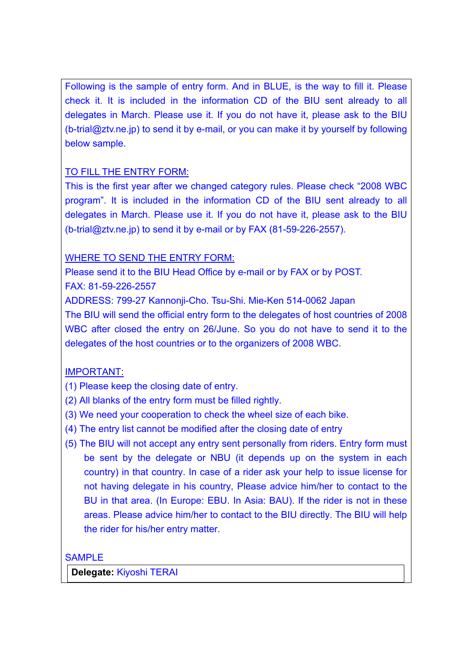Following is the sample of entry form. And in BLUE, is the way to fill it. Please check it. It is included in the information CD of the BIU sent already to all delegates in March. Please use it. If you do not have it, please ask to the BIU (b-trial@ztv.ne.jp) to send it by e-mail, or you can make it by yourself by following below sample.

### TO FILL THE ENTRY FORM:

This is the first year after we changed category rules. Please check "2008 WBC program". It is included in the information CD of the BIU sent already to all delegates in March. Please use it. If you do not have it, please ask to the BIU (b-trial@ztv.ne.jp) to send it by e-mail or by FAX (81-59-226-2557).

### WHERE TO SEND THE ENTRY FORM:

Please send it to the BIU Head Office by e-mail or by FAX or by POST. FAX: 81-59-226-2557

ADDRESS: 799-27 Kannonji-Cho. Tsu-Shi. Mie-Ken 514-0062 Japan

The BIU will send the official entry form to the delegates of host countries of 2008 WBC after closed the entry on 26/June. So you do not have to send it to the delegates of the host countries or to the organizers of 2008 WBC.

## IMPORTANT:

(1) Please keep the closing date of entry.

- (2) All blanks of the entry form must be filled rightly.
- (3) We need your cooperation to check the wheel size of each bike.
- (4) The entry list cannot be modified after the closing date of entry
- (5) The BIU will not accept any entry sent personally from riders. Entry form must be sent by the delegate or NBU (it depends up on the system in each country) in that country. In case of a rider ask your help to issue license for not having delegate in his country, Please advice him/her to contact to the BU in that area. (In Europe: EBU. In Asia: BAU). If the rider is not in these areas. Please advice him/her to contact to the BIU directly. The BIU will help the rider for his/her entry matter.

SAMPLE

**Delegate:** Kiyoshi TERAI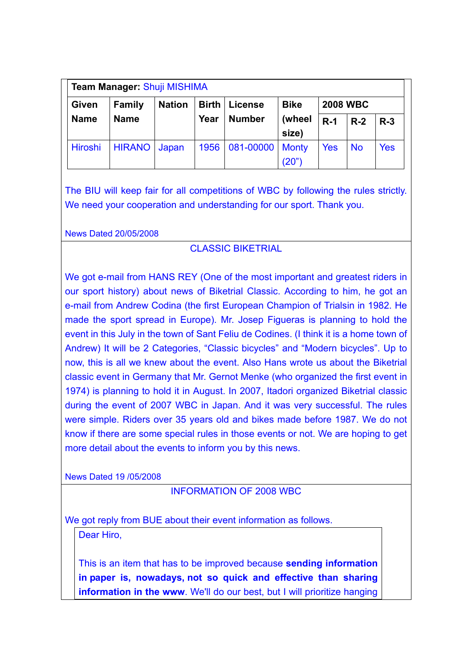| <b>Team Manager: Shuji MISHIMA</b>                                                                   |               |       |      |               |              |            |           |            |
|------------------------------------------------------------------------------------------------------|---------------|-------|------|---------------|--------------|------------|-----------|------------|
| <b>Bike</b><br><b>2008 WBC</b><br><b>Nation</b><br><b>Birth</b><br>Given<br><b>Family</b><br>License |               |       |      |               |              |            |           |            |
| <b>Name</b>                                                                                          | <b>Name</b>   |       | Year | <b>Number</b> | (wheel       | $R-1$      | $R-2$     | $R-3$      |
|                                                                                                      |               |       |      |               | size)        |            |           |            |
| <b>Hiroshi</b>                                                                                       | <b>HIRANO</b> | Japan | 1956 | 081-00000     | <b>Monty</b> | <b>Yes</b> | <b>No</b> | <b>Yes</b> |
|                                                                                                      |               |       |      |               | (20")        |            |           |            |

The BIU will keep fair for all competitions of WBC by following the rules strictly. We need your cooperation and understanding for our sport. Thank you.

News Dated 20/05/2008

### CLASSIC BIKETRIAL

We got e-mail from HANS REY (One of the most important and greatest riders in our sport history) about news of Biketrial Classic. According to him, he got an e-mail from Andrew Codina (the first European Champion of Trialsin in 1982. He made the sport spread in Europe). Mr. Josep Figueras is planning to hold the event in this July in the town of Sant Feliu de Codines. (I think it is a home town of Andrew) It will be 2 Categories, "Classic bicycles" and "Modern bicycles". Up to now, this is all we knew about the event. Also Hans wrote us about the Biketrial classic event in Germany that Mr. Gernot Menke (who organized the first event in 1974) is planning to hold it in August. In 2007, Itadori organized Biketrial classic during the event of 2007 WBC in Japan. And it was very successful. The rules were simple. Riders over 35 years old and bikes made before 1987. We do not know if there are some special rules in those events or not. We are hoping to get more detail about the events to inform you by this news.

News Dated 19 /05/2008

### INFORMATION OF 2008 WBC

We got reply from BUE about their event information as follows.

Dear Hiro,

This is an item that has to be improved because **sending information in paper is, nowadays, not so quick and effective than sharing information in the www**. We'll do our best, but I will prioritize hanging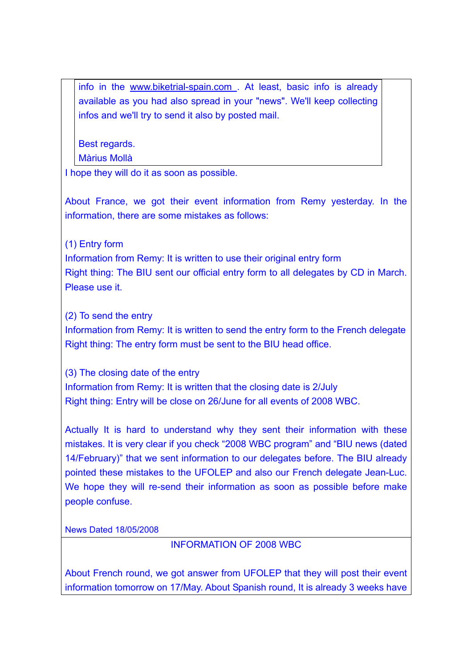info in the www.biketrial-spain.com . At least, basic info is already available as you had also spread in your "news". We'll keep collecting infos and we'll try to send it also by posted mail.

Best regards.

Màrius Mollà

I hope they will do it as soon as possible.

About France, we got their event information from Remy yesterday. In the information, there are some mistakes as follows:

(1) Entry form

Information from Remy: It is written to use their original entry form Right thing: The BIU sent our official entry form to all delegates by CD in March. Please use it.

(2) To send the entry

Information from Remy: It is written to send the entry form to the French delegate Right thing: The entry form must be sent to the BIU head office.

(3) The closing date of the entry Information from Remy: It is written that the closing date is 2/July Right thing: Entry will be close on 26/June for all events of 2008 WBC.

Actually It is hard to understand why they sent their information with these mistakes. It is very clear if you check "2008 WBC program" and "BIU news (dated 14/February)" that we sent information to our delegates before. The BIU already pointed these mistakes to the UFOLEP and also our French delegate Jean-Luc. We hope they will re-send their information as soon as possible before make people confuse.

News Dated 18/05/2008

INFORMATION OF 2008 WBC

About French round, we got answer from UFOLEP that they will post their event information tomorrow on 17/May. About Spanish round, It is already 3 weeks have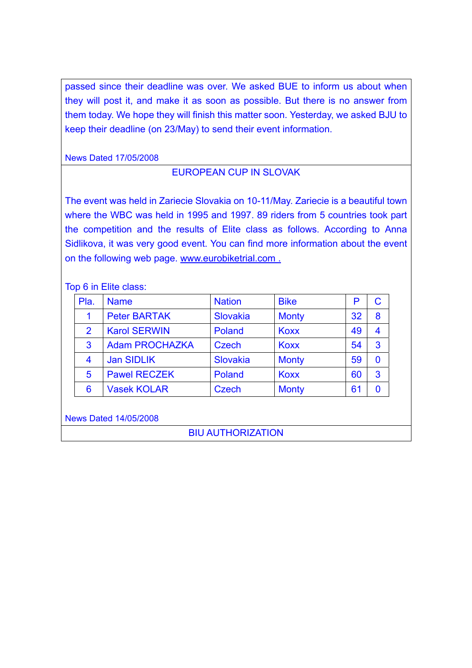passed since their deadline was over. We asked BUE to inform us about when they will post it, and make it as soon as possible. But there is no answer from them today. We hope they will finish this matter soon. Yesterday, we asked BJU to keep their deadline (on 23/May) to send their event information.

News Dated 17/05/2008

## EUROPEAN CUP IN SLOVAK

The event was held in Zariecie Slovakia on 10-11/May. Zariecie is a beautiful town where the WBC was held in 1995 and 1997. 89 riders from 5 countries took part the competition and the results of Elite class as follows. According to Anna Sidlikova, it was very good event. You can find more information about the event on the following web page. www.eurobiketrial.com .

#### Top 6 in Elite class:

| Pla.           | <b>Name</b>           | <b>Nation</b> | <b>Bike</b>  | Р  |   |
|----------------|-----------------------|---------------|--------------|----|---|
|                | <b>Peter BARTAK</b>   | Slovakia      | <b>Monty</b> | 32 | 8 |
| $\overline{2}$ | <b>Karol SERWIN</b>   | Poland        | <b>Koxx</b>  | 49 | 4 |
| 3              | <b>Adam PROCHAZKA</b> | <b>Czech</b>  | <b>Koxx</b>  | 54 | 3 |
| $\overline{4}$ | <b>Jan SIDLIK</b>     | Slovakia      | <b>Monty</b> | 59 | 0 |
| 5              | <b>Pawel RECZEK</b>   | Poland        | <b>Koxx</b>  | 60 | 3 |
| 6              | <b>Vasek KOLAR</b>    | <b>Czech</b>  | <b>Monty</b> | 61 |   |

News Dated 14/05/2008

BIU AUTHORIZATION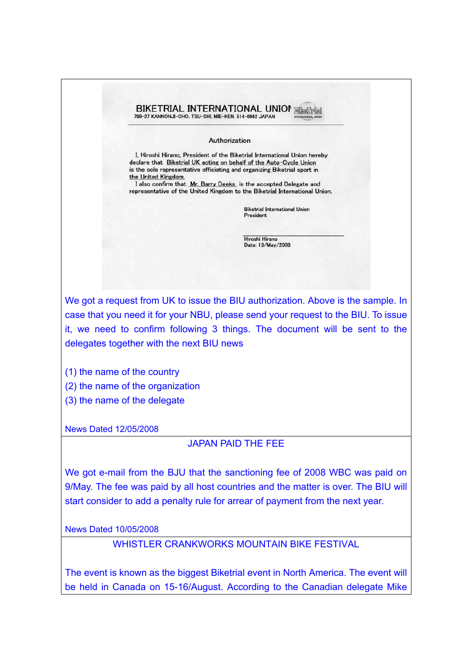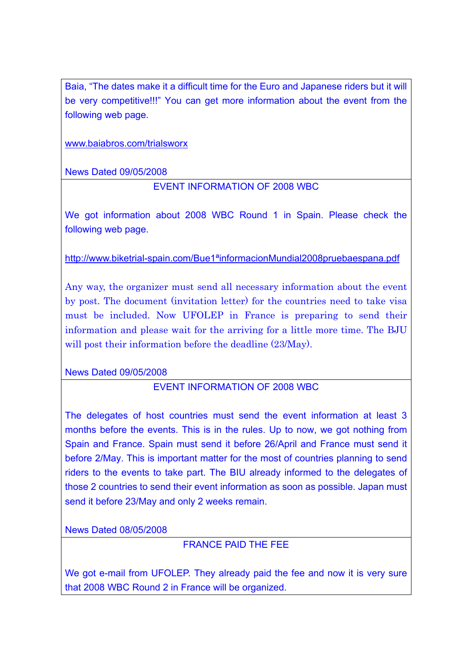Baia, "The dates make it a difficult time for the Euro and Japanese riders but it will be very competitive!!!" You can get more information about the event from the following web page.

www.baiabros.com/trialsworx

News Dated 09/05/2008

## EVENT INFORMATION OF 2008 WBC

We got information about 2008 WBC Round 1 in Spain. Please check the following web page.

http://www.biketrial-spain.com/Bue1ªinformacionMundial2008pruebaespana.pdf

Any way, the organizer must send all necessary information about the event by post. The document (invitation letter) for the countries need to take visa must be included. Now UFOLEP in France is preparing to send their information and please wait for the arriving for a little more time. The BJU will post their information before the deadline (23/May).

News Dated 09/05/2008

## EVENT INFORMATION OF 2008 WBC

The delegates of host countries must send the event information at least 3 months before the events. This is in the rules. Up to now, we got nothing from Spain and France. Spain must send it before 26/April and France must send it before 2/May. This is important matter for the most of countries planning to send riders to the events to take part. The BIU already informed to the delegates of those 2 countries to send their event information as soon as possible. Japan must send it before 23/May and only 2 weeks remain.

News Dated 08/05/2008

FRANCE PAID THE FEE

We got e-mail from UFOLEP. They already paid the fee and now it is very sure that 2008 WBC Round 2 in France will be organized.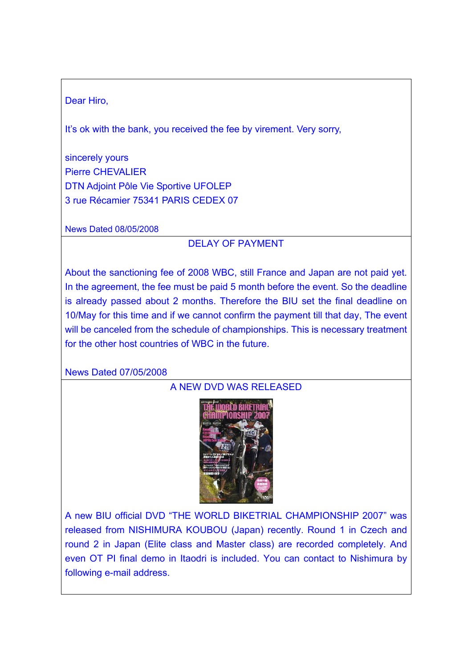### Dear Hiro,

It's ok with the bank, you received the fee by virement. Very sorry,

sincerely yours Pierre CHEVALIER DTN Adjoint Pôle Vie Sportive UFOLEP 3 rue Récamier 75341 PARIS CEDEX 07

News Dated 08/05/2008

## DELAY OF PAYMENT

About the sanctioning fee of 2008 WBC, still France and Japan are not paid yet. In the agreement, the fee must be paid 5 month before the event. So the deadline is already passed about 2 months. Therefore the BIU set the final deadline on 10/May for this time and if we cannot confirm the payment till that day, The event will be canceled from the schedule of championships. This is necessary treatment for the other host countries of WBC in the future.

News Dated 07/05/2008

# A NEW DVD WAS RELEASED



A new BIU official DVD "THE WORLD BIKETRIAL CHAMPIONSHIP 2007" was released from NISHIMURA KOUBOU (Japan) recently. Round 1 in Czech and round 2 in Japan (Elite class and Master class) are recorded completely. And even OT PI final demo in Itaodri is included. You can contact to Nishimura by following e-mail address.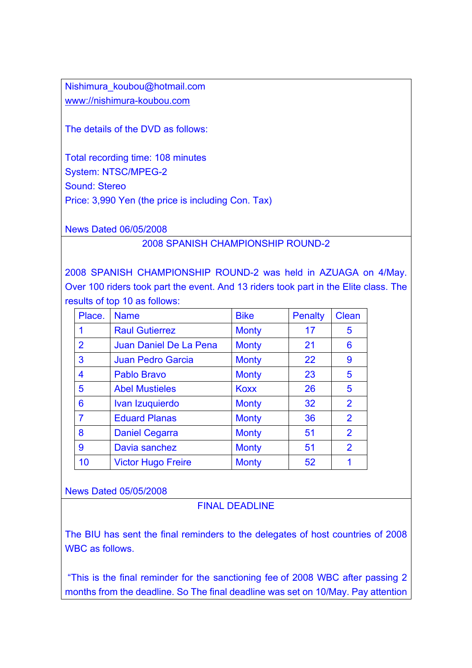Nishimura\_koubou@hotmail.com www://nishimura-koubou.com

The details of the DVD as follows:

Total recording time: 108 minutes System: NTSC/MPEG-2 Sound: Stereo Price: 3,990 Yen (the price is including Con. Tax)

News Dated 06/05/2008

### 2008 SPANISH CHAMPIONSHIP ROUND-2

2008 SPANISH CHAMPIONSHIP ROUND-2 was held in AZUAGA on 4/May. Over 100 riders took part the event. And 13 riders took part in the Elite class. The results of top 10 as follows:

| Place.         | <b>Name</b>               | <b>Bike</b>  | <b>Penalty</b> | Clean          |
|----------------|---------------------------|--------------|----------------|----------------|
|                | <b>Raul Gutierrez</b>     | <b>Monty</b> | 17             | 5              |
| $\overline{2}$ | Juan Daniel De La Pena    | <b>Monty</b> | 21             | $6\phantom{1}$ |
| 3              | <b>Juan Pedro Garcia</b>  | <b>Monty</b> | 22             | 9              |
| 4              | <b>Pablo Bravo</b>        | <b>Monty</b> | 23             | 5              |
| 5              | <b>Abel Mustieles</b>     | <b>Koxx</b>  | 26             | 5              |
| 6              | Ivan Izuquierdo           | <b>Monty</b> | 32             | $\overline{2}$ |
| 7              | <b>Eduard Planas</b>      | <b>Monty</b> | 36             | $\overline{2}$ |
| 8              | <b>Daniel Cegarra</b>     | <b>Monty</b> | 51             | $\overline{2}$ |
| 9              | Davia sanchez             | <b>Monty</b> | 51             | $\overline{2}$ |
| 10             | <b>Victor Hugo Freire</b> | <b>Monty</b> | 52             | 1              |

News Dated 05/05/2008

### FINAL DEADLINE

The BIU has sent the final reminders to the delegates of host countries of 2008 WBC as follows.

 "This is the final reminder for the sanctioning fee of 2008 WBC after passing 2 months from the deadline. So The final deadline was set on 10/May. Pay attention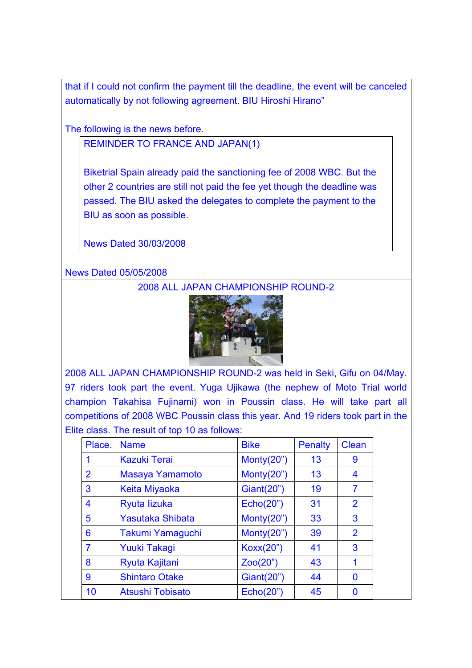that if I could not confirm the payment till the deadline, the event will be canceled automatically by not following agreement. BIU Hiroshi Hirano"

The following is the news before.

REMINDER TO FRANCE AND JAPAN(1)

Biketrial Spain already paid the sanctioning fee of 2008 WBC. But the other 2 countries are still not paid the fee yet though the deadline was passed. The BIU asked the delegates to complete the payment to the BIU as soon as possible.

News Dated 30/03/2008

News Dated 05/05/2008

2008 ALL JAPAN CHAMPIONSHIP ROUND-2



2008 ALL JAPAN CHAMPIONSHIP ROUND-2 was held in Seki, Gifu on 04/May. 97 riders took part the event. Yuga Ujikawa (the nephew of Moto Trial world champion Takahisa Fujinami) won in Poussin class. He will take part all competitions of 2008 WBC Poussin class this year. And 19 riders took part in the Elite class. The result of top 10 as follows:

| Place.         | <b>Name</b>             | <b>Bike</b>  | <b>Penalty</b> | <b>Clean</b>   |
|----------------|-------------------------|--------------|----------------|----------------|
|                | <b>Kazuki Terai</b>     | Monty $(20)$ | 13             | 9              |
| $\overline{2}$ | Masaya Yamamoto         | Monty $(20)$ | 13             | 4              |
| 3              | <b>Keita Miyaoka</b>    | Giant(20")   | 19             | 7              |
| 4              | Ryuta lizuka            | Echo(20")    | 31             | $\overline{2}$ |
| 5              | <b>Yasutaka Shibata</b> | Monty $(20)$ | 33             | 3              |
| 6              | Takumi Yamaguchi        | Monty $(20)$ | 39             | $\overline{2}$ |
| 7              | <b>Yuuki Takagi</b>     | Koxx(20")    | 41             | 3              |
| 8              | Ryuta Kajitani          | Zoo(20")     | 43             | 1              |
| 9              | <b>Shintaro Otake</b>   | Giant(20")   | 44             | 0              |
| 10             | <b>Atsushi Tobisato</b> | Echo(20")    | 45             | O              |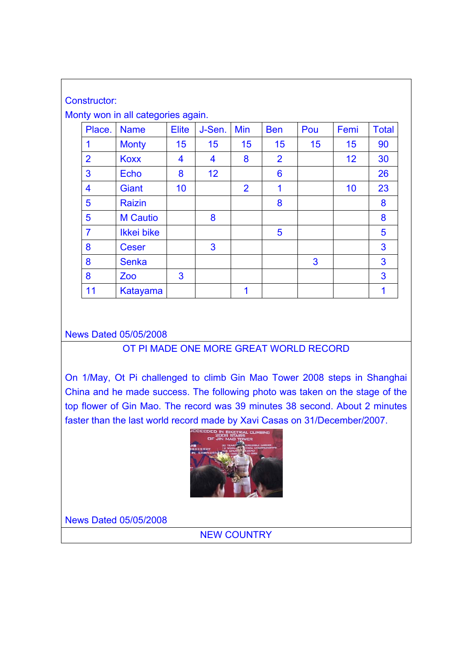| Constructor:   |                                    |              |        |                |                |     |      |              |
|----------------|------------------------------------|--------------|--------|----------------|----------------|-----|------|--------------|
|                | Monty won in all categories again. |              |        |                |                |     |      |              |
| Place.         | <b>Name</b>                        | <b>Elite</b> | J-Sen. | Min            | <b>Ben</b>     | Pou | Femi | <b>Total</b> |
| 1              | <b>Monty</b>                       | 15           | 15     | 15             | 15             | 15  | 15   | 90           |
| $\overline{2}$ | <b>Koxx</b>                        | 4            | 4      | 8              | $\overline{2}$ |     | 12   | 30           |
| 3              | <b>Echo</b>                        | 8            | 12     |                | 6              |     |      | 26           |
| 4              | <b>Giant</b>                       | 10           |        | $\overline{2}$ | 1              |     | 10   | 23           |
| 5              | <b>Raizin</b>                      |              |        |                | 8              |     |      | 8            |
| 5              | <b>M</b> Cautio                    |              | 8      |                |                |     |      | 8            |
| $\overline{7}$ | Ikkei bike                         |              |        |                | 5              |     |      | 5            |
| 8              | <b>Ceser</b>                       |              | 3      |                |                |     |      | 3            |
| 8              | <b>Senka</b>                       |              |        |                |                | 3   |      | 3            |
| 8              | Zoo                                | 3            |        |                |                |     |      | 3            |
| 11             | Katayama                           |              |        | 1              |                |     |      | 1            |

### News Dated 05/05/2008

### OT PI MADE ONE MORE GREAT WORLD RECORD

On 1/May, Ot Pi challenged to climb Gin Mao Tower 2008 steps in Shanghai China and he made success. The following photo was taken on the stage of the top flower of Gin Mao. The record was 39 minutes 38 second. About 2 minutes faster than the last world record made by Xavi Casas on 31/December/2007.



News Dated 05/05/2008

NEW COUNTRY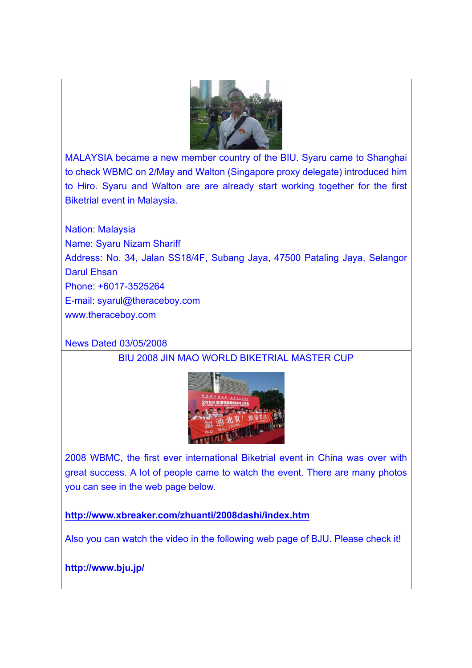

MALAYSIA became a new member country of the BIU. Syaru came to Shanghai to check WBMC on 2/May and Walton (Singapore proxy delegate) introduced him to Hiro. Syaru and Walton are are already start working together for the first Biketrial event in Malaysia.

Nation: Malaysia Name: Syaru Nizam Shariff Address: No. 34, Jalan SS18/4F, Subang Jaya, 47500 Pataling Jaya, Selangor Darul Ehsan Phone: +6017-3525264 E-mail: syarul@theraceboy.com www.theraceboy.com

News Dated 03/05/2008

## BIU 2008 JIN MAO WORLD BIKETRIAL MASTER CUP



2008 WBMC, the first ever international Biketrial event in China was over with great success. A lot of people came to watch the event. There are many photos you can see in the web page below.

**http://www.xbreaker.com/zhuanti/2008dashi/index.htm**

Also you can watch the video in the following web page of BJU. Please check it!

**http://www.bju.jp/**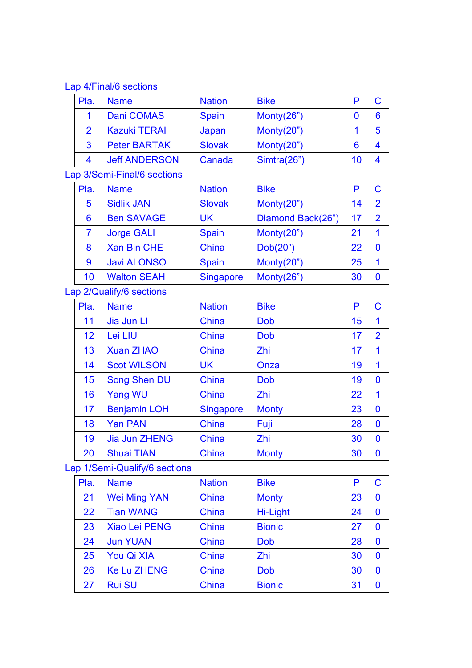|                | Lap 4/Final/6 sections        |                  |                   |    |                |
|----------------|-------------------------------|------------------|-------------------|----|----------------|
| Pla.           | <b>Name</b>                   | <b>Nation</b>    | <b>Bike</b>       | P  | $\mathbf C$    |
| 1              | <b>Dani COMAS</b>             | Spain            | Monty(26")        | 0  | 6              |
| $\overline{2}$ | <b>Kazuki TERAI</b>           | Japan            | Monty(20")        | 1  | 5              |
| 3              | <b>Peter BARTAK</b>           | <b>Slovak</b>    | Monty(20")        | 6  | 4              |
| 4              | <b>Jeff ANDERSON</b>          | Canada           | Simtra(26")       | 10 | 4              |
|                | Lap 3/Semi-Final/6 sections   |                  |                   |    |                |
| Pla.           | <b>Name</b>                   | <b>Nation</b>    | <b>Bike</b>       | P  | $\overline{C}$ |
| 5              | <b>Sidlik JAN</b>             | <b>Slovak</b>    | Monty $(20")$     | 14 | $\overline{2}$ |
| 6              | <b>Ben SAVAGE</b>             | <b>UK</b>        | Diamond Back(26") | 17 | $\overline{2}$ |
| $\overline{7}$ | <b>Jorge GALI</b>             | <b>Spain</b>     | Monty(20")        | 21 | $\mathbf 1$    |
| 8              | <b>Xan Bin CHE</b>            | China            | Dob(20")          | 22 | 0              |
| 9              | <b>Javi ALONSO</b>            | Spain            | Monty(20")        | 25 | $\mathbf 1$    |
| 10             | <b>Walton SEAH</b>            | <b>Singapore</b> | Monty(26")        | 30 | 0              |
|                | Lap 2/Qualify/6 sections      |                  |                   |    |                |
| Pla.           | <b>Name</b>                   | <b>Nation</b>    | <b>Bike</b>       | P  | $\mathbf C$    |
| 11             | Jia Jun Ll                    | China            | <b>Dob</b>        | 15 | $\overline{1}$ |
| 12             | Lei LIU                       | China            | <b>Dob</b>        | 17 | $\overline{2}$ |
| 13             | <b>Xuan ZHAO</b>              | China            | Zhi               | 17 | $\overline{1}$ |
| 14             | <b>Scot WILSON</b>            | <b>UK</b>        | Onza              | 19 | 1              |
| 15             | <b>Song Shen DU</b>           | China            | <b>Dob</b>        | 19 | 0              |
| 16             | Yang WU                       | China            | Zhi               | 22 | $\mathbf 1$    |
| 17             | <b>Benjamin LOH</b>           | <b>Singapore</b> | <b>Monty</b>      | 23 | 0              |
| 18             | <b>Yan PAN</b>                | China            | Fuji              | 28 | 0              |
| 19             | <b>Jia Jun ZHENG</b>          | China            | Zhi               | 30 | 0              |
| 20             | <b>Shuai TIAN</b>             | China            | <b>Monty</b>      | 30 | 0              |
|                | Lap 1/Semi-Qualify/6 sections |                  |                   |    |                |
| Pla.           | <b>Name</b>                   | <b>Nation</b>    | <b>Bike</b>       | P  | $\mathbf C$    |
| 21             | <b>Wei Ming YAN</b>           | China            | <b>Monty</b>      | 23 | 0              |
| 22             | <b>Tian WANG</b>              | China            | Hi-Light          | 24 | 0              |
| 23             | <b>Xiao Lei PENG</b>          | China            | <b>Bionic</b>     | 27 | 0              |
| 24             | <b>Jun YUAN</b>               | <b>China</b>     | <b>Dob</b>        | 28 | 0              |
| 25             | You Qi XIA                    | China            | Zhi               | 30 | 0              |
| 26             | <b>Ke Lu ZHENG</b>            | China            | <b>Dob</b>        | 30 | 0              |
| 27             | <b>Rui SU</b>                 | China            | <b>Bionic</b>     | 31 | 0              |